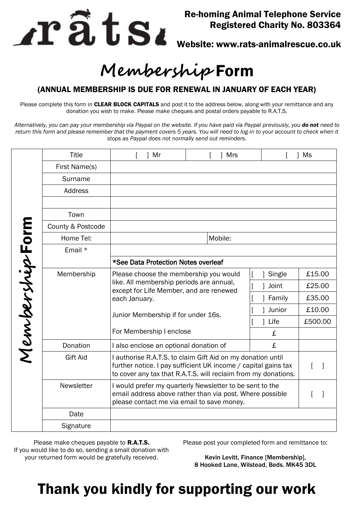

### Re-homing Animal Telephone Service Registered Charity No. 803364

Website: www.rats-animalrescue.co.uk

# **Membership** Form

#### (ANNUAL MEMBERSHIP IS DUE FOR RENEWAL IN JANUARY OF EACH YEAR)

Please complete this form in CLEAR BLOCK CAPITALS and post it to the address below, along with your remittance and any donation you wish to make. Please make cheques and postal orders payable to R.A.T.S.

*Alternatively, you can pay your membership via Paypal on the website. If you have paid via Paypal previously, you do not need to return this form and please remember that the payment covers 5 years. You will need to log-in to your account to check when it stops as Paypal does not normally send out reminders.* 

| MembershipForm | <b>Title</b>      | ] Mr                                                                                                                                                                                            | <b>Mrs</b> |           | Ms      |
|----------------|-------------------|-------------------------------------------------------------------------------------------------------------------------------------------------------------------------------------------------|------------|-----------|---------|
|                | First Name(s)     |                                                                                                                                                                                                 |            |           |         |
|                | Surname           |                                                                                                                                                                                                 |            |           |         |
|                | Address           |                                                                                                                                                                                                 |            |           |         |
|                |                   |                                                                                                                                                                                                 |            |           |         |
|                | Town              |                                                                                                                                                                                                 |            |           |         |
|                | County & Postcode |                                                                                                                                                                                                 |            |           |         |
|                | Home Tel:         |                                                                                                                                                                                                 | Mobile:    |           |         |
|                | Email *           |                                                                                                                                                                                                 |            |           |         |
|                |                   | *See Data Protection Notes overleaf                                                                                                                                                             |            |           |         |
|                | Membership        | Please choose the membership you would<br>like. All membership periods are annual,<br>except for Life Member, and are renewed<br>each January.                                                  |            | Single    | £15.00  |
|                |                   |                                                                                                                                                                                                 |            | Joint     | £25.00  |
|                |                   |                                                                                                                                                                                                 |            | Family    | £35.00  |
|                |                   | Junior Membership if for under 16s.<br>For Membership I enclose                                                                                                                                 |            | Junior    | £10.00  |
|                |                   |                                                                                                                                                                                                 |            | Life<br>1 | £500.00 |
|                |                   |                                                                                                                                                                                                 |            | £         |         |
|                | Donation          | I also enclose an optional donation of                                                                                                                                                          |            | £         |         |
|                | <b>Gift Aid</b>   | I authorise R.A.T.S. to claim Gift Aid on my donation until<br>further notice. I pay sufficient UK income / capital gains tax<br>to cover any tax that R.A.T.S. will reclaim from my donations. |            |           |         |
|                | Newsletter        | I would prefer my quarterly Newsletter to be sent to the<br>email address above rather than via post. Where possible<br>please contact me via email to save money.                              |            |           |         |
|                | Date              |                                                                                                                                                                                                 |            |           |         |
|                | Signature         |                                                                                                                                                                                                 |            |           |         |

Please make cheques payable to **R.A.T.S.** If you would like to do so, sending a small donation with your returned form would be gratefully received.

Please post your completed form and remittance to:

Kevin Levitt, Finance [Membership], 8 Hooked Lane, Wilstead, Beds. MK45 3DL

# Thank you kindly for supporting our work